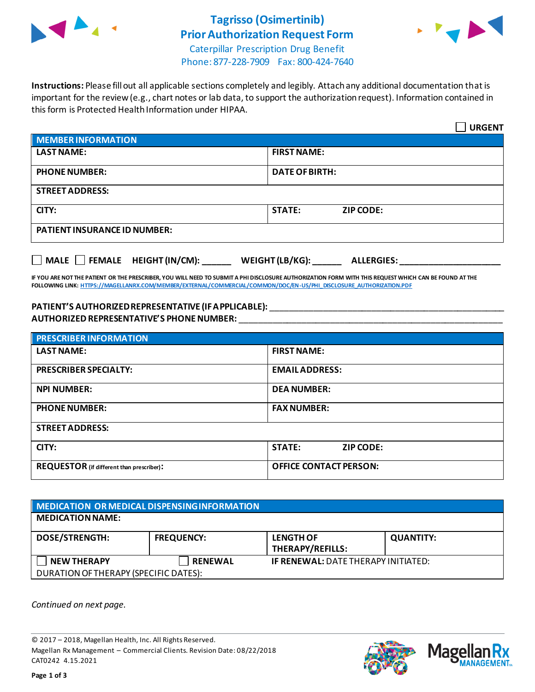

# **Tagrisso (Osimertinib) Prior Authorization Request Form**



Caterpillar Prescription Drug Benefit Phone: 877-228-7909 Fax: 800-424-7640

**Instructions:** Please fill out all applicable sections completely and legibly. Attach any additional documentation that is important for the review (e.g., chart notes or lab data, to support the authorization request). Information contained in this form is Protected Health Information under HIPAA.

|                                                                                   | <b>URGENT</b>                     |  |  |  |
|-----------------------------------------------------------------------------------|-----------------------------------|--|--|--|
| <b>MEMBER INFORMATION</b>                                                         |                                   |  |  |  |
| <b>LAST NAME:</b>                                                                 | <b>FIRST NAME:</b>                |  |  |  |
| <b>PHONE NUMBER:</b>                                                              | <b>DATE OF BIRTH:</b>             |  |  |  |
| <b>STREET ADDRESS:</b>                                                            |                                   |  |  |  |
| CITY:                                                                             | <b>STATE:</b><br><b>ZIP CODE:</b> |  |  |  |
| <b>PATIENT INSURANCE ID NUMBER:</b>                                               |                                   |  |  |  |
| $\Box$ MALE $\Box$ FEMALE HEIGHT (IN/CM):<br>WEIGHT (LB/KG):<br><b>ALLERGIES:</b> |                                   |  |  |  |

**IF YOU ARE NOT THE PATIENT OR THE PRESCRIBER, YOU WILL NEED TO SUBMIT A PHI DISCLOSURE AUTHORIZATION FORM WITH THIS REQUEST WHICH CAN BE FOUND AT THE FOLLOWING LINK[: HTTPS://MAGELLANRX.COM/MEMBER/EXTERNAL/COMMERCIAL/COMMON/DOC/EN-US/PHI\\_DISCLOSURE\\_AUTHORIZATION.PDF](https://magellanrx.com/member/external/commercial/common/doc/en-us/PHI_Disclosure_Authorization.pdf)**

### **PATIENT'S AUTHORIZED REPRESENTATIVE (IF APPLICABLE):** \_\_\_\_\_\_\_\_\_\_\_\_\_\_\_\_\_\_\_\_\_\_\_\_\_\_\_\_\_\_\_\_\_\_\_\_\_\_\_\_\_\_\_\_\_\_\_\_\_ **AUTHORIZED REPRESENTATIVE'S PHONE NUMBER:** \_\_\_\_\_\_\_\_\_\_\_\_\_\_\_\_\_\_\_\_\_\_\_\_\_\_\_\_\_\_\_\_\_\_\_\_\_\_\_\_\_\_\_\_\_\_\_\_\_\_\_\_\_\_\_

| <b>PRESCRIBER INFORMATION</b>             |                               |  |  |
|-------------------------------------------|-------------------------------|--|--|
| <b>LAST NAME:</b>                         | <b>FIRST NAME:</b>            |  |  |
| <b>PRESCRIBER SPECIALTY:</b>              | <b>EMAIL ADDRESS:</b>         |  |  |
| <b>NPI NUMBER:</b>                        | <b>DEA NUMBER:</b>            |  |  |
| <b>PHONE NUMBER:</b>                      | <b>FAX NUMBER:</b>            |  |  |
| <b>STREET ADDRESS:</b>                    |                               |  |  |
| CITY:                                     | <b>STATE:</b><br>ZIP CODE:    |  |  |
| REQUESTOR (if different than prescriber): | <b>OFFICE CONTACT PERSON:</b> |  |  |

| MEDICATION OR MEDICAL DISPENSING INFORMATION |                   |                                             |                  |  |  |
|----------------------------------------------|-------------------|---------------------------------------------|------------------|--|--|
| <b>MEDICATION NAME:</b>                      |                   |                                             |                  |  |  |
| <b>DOSE/STRENGTH:</b>                        | <b>FREQUENCY:</b> | <b>LENGTH OF</b><br><b>THERAPY/REFILLS:</b> | <b>QUANTITY:</b> |  |  |
| <b>NEW THERAPY</b>                           | <b>RENEWAL</b>    | <b>IF RENEWAL: DATE THERAPY INITIATED:</b>  |                  |  |  |
| DURATION OF THERAPY (SPECIFIC DATES):        |                   |                                             |                  |  |  |

*Continued on next page.*

© 2017 – 2018, Magellan Health, Inc. All Rights Reserved. Magellan Rx Management – Commercial Clients. Revision Date: 08/22/2018 CAT0242 4.15.2021



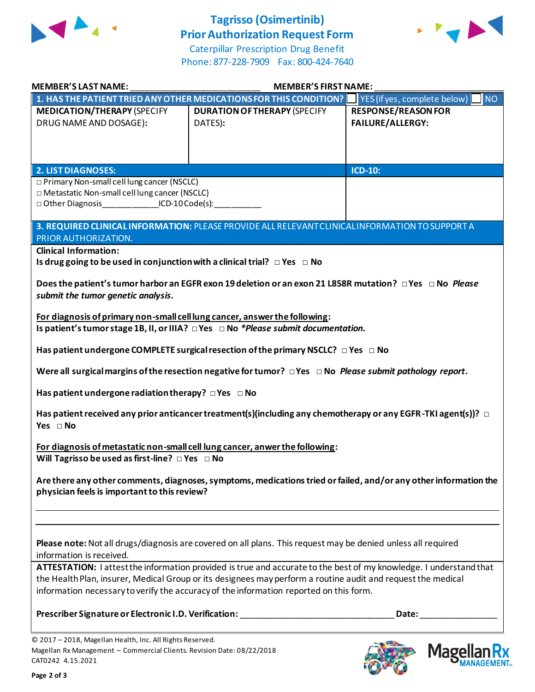

## **Tagrisso (Osimertinib) Prior Authorization Request Form**



Caterpillar Prescription Drug Benefit Phone: 877-228-7909 Fax: 800-424-7640

| <b>MEMBER'S LAST NAME:</b>                                                                                                                           |                                                                                                                                                                                                                                                                                                                              | <b>MEMBER'S FIRST NAME:</b>                                                                                      |  |  |
|------------------------------------------------------------------------------------------------------------------------------------------------------|------------------------------------------------------------------------------------------------------------------------------------------------------------------------------------------------------------------------------------------------------------------------------------------------------------------------------|------------------------------------------------------------------------------------------------------------------|--|--|
|                                                                                                                                                      | 1. HAS THE PATIENT TRIED ANY OTHER MEDICATIONS FOR THIS CONDITION?                                                                                                                                                                                                                                                           | INO<br>YES (if yes, complete below)                                                                              |  |  |
| <b>MEDICATION/THERAPY (SPECIFY</b><br>DRUG NAME AND DOSAGE):                                                                                         | <b>DURATION OF THERAPY (SPECIFY</b><br>DATES):                                                                                                                                                                                                                                                                               | <b>RESPONSE/REASON FOR</b><br><b>FAILURE/ALLERGY:</b>                                                            |  |  |
| 2. LIST DIAGNOSES:                                                                                                                                   |                                                                                                                                                                                                                                                                                                                              | ICD-10:                                                                                                          |  |  |
| □ Primary Non-small cell lung cancer (NSCLC)<br>□ Metastatic Non-small cell lung cancer (NSCLC)<br>□ Other Diagnosis_______________ICD-10 Code(s):__ |                                                                                                                                                                                                                                                                                                                              |                                                                                                                  |  |  |
| PRIOR AUTHORIZATION.                                                                                                                                 | 3. REQUIRED CLINICAL INFORMATION: PLEASE PROVIDE ALL RELEVANT CLINICAL INFORMATION TO SUPPORT A                                                                                                                                                                                                                              |                                                                                                                  |  |  |
| <b>Clinical Information:</b><br>Is drug going to be used in conjunction with a clinical trial? $\Box$ Yes $\Box$ No                                  |                                                                                                                                                                                                                                                                                                                              |                                                                                                                  |  |  |
| submit the tumor genetic analysis.                                                                                                                   | Does the patient's tumor harbor an EGFR exon 19 deletion or an exon 21 L858R mutation? □ Yes □ No Please                                                                                                                                                                                                                     |                                                                                                                  |  |  |
| For diagnosis of primary non-small cell lung cancer, answer the following:                                                                           | Is patient's tumor stage 1B, II, or IIIA? $\Box$ Yes $\Box$ No *Please submit documentation.                                                                                                                                                                                                                                 |                                                                                                                  |  |  |
|                                                                                                                                                      | Has patient undergone COMPLETE surgical resection of the primary NSCLC? $\Box$ Yes $\Box$ No                                                                                                                                                                                                                                 |                                                                                                                  |  |  |
|                                                                                                                                                      | Were all surgical margins of the resection negative for tumor? $\Box$ Yes $\Box$ No Please submit pathology report.                                                                                                                                                                                                          |                                                                                                                  |  |  |
| Has patient undergone radiation therapy? $\Box$ Yes $\Box$ No                                                                                        |                                                                                                                                                                                                                                                                                                                              |                                                                                                                  |  |  |
| Yes $\Box$ No                                                                                                                                        | Has patient received any prior anticancer treatment(s)(including any chemotherapy or any EGFR-TKI agent(s))? $\Box$                                                                                                                                                                                                          |                                                                                                                  |  |  |
| Will Tagrisso be used as first-line? $\Box$ Yes $\Box$ No                                                                                            | For diagnosis of metastatic non-small cell lung cancer, anwer the following:                                                                                                                                                                                                                                                 |                                                                                                                  |  |  |
| physician feels is important to this review?                                                                                                         |                                                                                                                                                                                                                                                                                                                              | Are there any other comments, diagnoses, symptoms, medications tried or failed, and/or any other information the |  |  |
| information is received.                                                                                                                             | Please note: Not all drugs/diagnosis are covered on all plans. This request may be denied unless all required                                                                                                                                                                                                                |                                                                                                                  |  |  |
|                                                                                                                                                      | ATTESTATION: I attest the information provided is true and accurate to the best of my knowledge. I understand that<br>the Health Plan, insurer, Medical Group or its designees may perform a routine audit and request the medical<br>information necessary to verify the accuracy of the information reported on this form. |                                                                                                                  |  |  |
|                                                                                                                                                      | Prescriber Signature or Electronic I.D. Verification: __________________________                                                                                                                                                                                                                                             | Date:                                                                                                            |  |  |
| © 2017 - 2018, Magellan Health, Inc. All Rights Reserved.<br>Magellan Rx Management - Commercial Clients. Revision Date: 08/22/2018                  |                                                                                                                                                                                                                                                                                                                              | $\mathsf{M}$ agellan Ry                                                                                          |  |  |

CAT0242 4.15.2021 **Page 2 of 3**